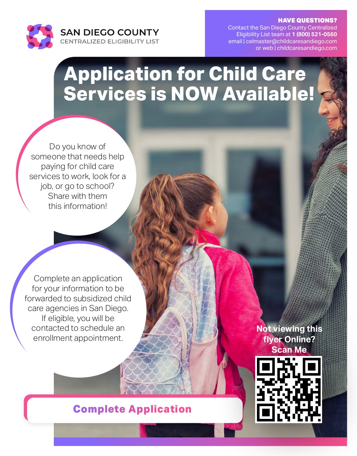

HAVE QUESTIONS?

Contact the San Diego County Centralized Eligibility List team at **1 (800) 521-0560** email | celmaster@childcaresandiego.com or web | childcaresandiego.com

# **Application for Child Care Services is NOW Available!**

Do you know of someone that needs help paying for child care services to work, look for a job, or go to school? Share with them this information!

Complete an application for your information to be forwarded to subsidized child care agencies in San Diego. If eligible, you will be contacted to schedule an enrollment appointment.

**YMCA CHILDCARE RESOURCE SERVICE** 

## **[Complete Application](http://www.childcaresandiego.com)**

**Not viewing this flyer Online? Scan Me**